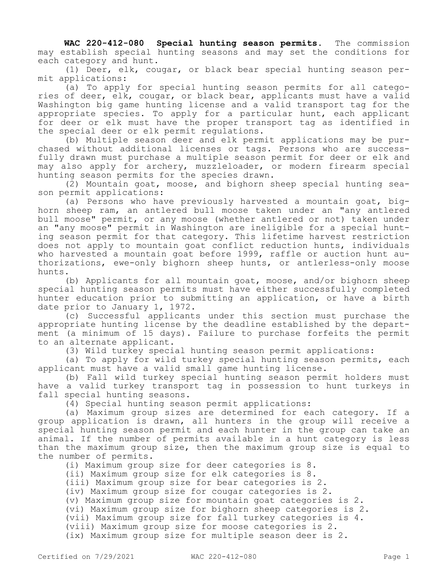**WAC 220-412-080 Special hunting season permits.** The commission may establish special hunting seasons and may set the conditions for each category and hunt.

(1) Deer, elk, cougar, or black bear special hunting season permit applications:

(a) To apply for special hunting season permits for all categories of deer, elk, cougar, or black bear, applicants must have a valid Washington big game hunting license and a valid transport tag for the appropriate species. To apply for a particular hunt, each applicant for deer or elk must have the proper transport tag as identified in the special deer or elk permit regulations.

(b) Multiple season deer and elk permit applications may be purchased without additional licenses or tags. Persons who are successfully drawn must purchase a multiple season permit for deer or elk and may also apply for archery, muzzleloader, or modern firearm special hunting season permits for the species drawn.

(2) Mountain goat, moose, and bighorn sheep special hunting season permit applications:

(a) Persons who have previously harvested a mountain goat, bighorn sheep ram, an antlered bull moose taken under an "any antlered bull moose" permit, or any moose (whether antlered or not) taken under an "any moose" permit in Washington are ineligible for a special hunting season permit for that category. This lifetime harvest restriction does not apply to mountain goat conflict reduction hunts, individuals who harvested a mountain goat before 1999, raffle or auction hunt authorizations, ewe-only bighorn sheep hunts, or antlerless-only moose hunts.

(b) Applicants for all mountain goat, moose, and/or bighorn sheep special hunting season permits must have either successfully completed hunter education prior to submitting an application, or have a birth date prior to January 1, 1972.

(c) Successful applicants under this section must purchase the appropriate hunting license by the deadline established by the department (a minimum of 15 days). Failure to purchase forfeits the permit to an alternate applicant.

(3) Wild turkey special hunting season permit applications:

(a) To apply for wild turkey special hunting season permits, each applicant must have a valid small game hunting license.

(b) Fall wild turkey special hunting season permit holders must have a valid turkey transport tag in possession to hunt turkeys in fall special hunting seasons.

(4) Special hunting season permit applications:

(a) Maximum group sizes are determined for each category. If a group application is drawn, all hunters in the group will receive a special hunting season permit and each hunter in the group can take an animal. If the number of permits available in a hunt category is less than the maximum group size, then the maximum group size is equal to the number of permits.

(i) Maximum group size for deer categories is 8.

(ii) Maximum group size for elk categories is 8.

(iii) Maximum group size for bear categories is 2.

(iv) Maximum group size for cougar categories is 2.

(v) Maximum group size for mountain goat categories is 2.

(vi) Maximum group size for bighorn sheep categories is 2.

(vii) Maximum group size for fall turkey categories is 4.

(viii) Maximum group size for moose categories is 2.

(ix) Maximum group size for multiple season deer is 2.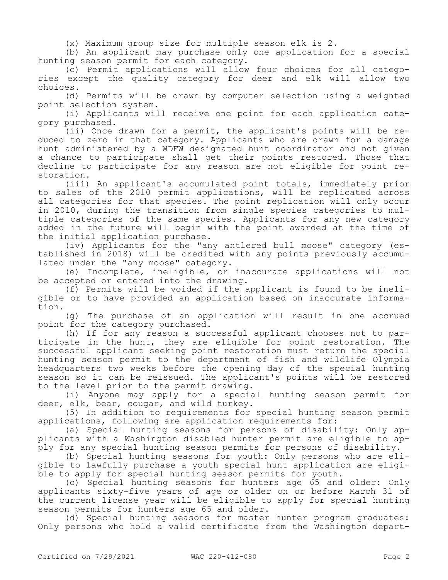(x) Maximum group size for multiple season elk is 2.

(b) An applicant may purchase only one application for a special hunting season permit for each category.

(c) Permit applications will allow four choices for all categories except the quality category for deer and elk will allow two choices.

(d) Permits will be drawn by computer selection using a weighted point selection system.

(i) Applicants will receive one point for each application category purchased.

(ii) Once drawn for a permit, the applicant's points will be reduced to zero in that category. Applicants who are drawn for a damage hunt administered by a WDFW designated hunt coordinator and not given a chance to participate shall get their points restored. Those that decline to participate for any reason are not eligible for point restoration.

(iii) An applicant's accumulated point totals, immediately prior to sales of the 2010 permit applications, will be replicated across all categories for that species. The point replication will only occur in 2010, during the transition from single species categories to multiple categories of the same species. Applicants for any new category added in the future will begin with the point awarded at the time of the initial application purchase.

(iv) Applicants for the "any antlered bull moose" category (established in 2018) will be credited with any points previously accumulated under the "any moose" category.

(e) Incomplete, ineligible, or inaccurate applications will not be accepted or entered into the drawing.

(f) Permits will be voided if the applicant is found to be ineligible or to have provided an application based on inaccurate information.

(g) The purchase of an application will result in one accrued point for the category purchased.

(h) If for any reason a successful applicant chooses not to participate in the hunt, they are eligible for point restoration. The successful applicant seeking point restoration must return the special hunting season permit to the department of fish and wildlife Olympia headquarters two weeks before the opening day of the special hunting season so it can be reissued. The applicant's points will be restored to the level prior to the permit drawing.

(i) Anyone may apply for a special hunting season permit for deer, elk, bear, cougar, and wild turkey.

(5) In addition to requirements for special hunting season permit applications, following are application requirements for:

(a) Special hunting seasons for persons of disability: Only applicants with a Washington disabled hunter permit are eligible to apply for any special hunting season permits for persons of disability.

(b) Special hunting seasons for youth: Only persons who are eligible to lawfully purchase a youth special hunt application are eligible to apply for special hunting season permits for youth.

(c) Special hunting seasons for hunters age 65 and older: Only applicants sixty-five years of age or older on or before March 31 of the current license year will be eligible to apply for special hunting season permits for hunters age 65 and older.

(d) Special hunting seasons for master hunter program graduates: Only persons who hold a valid certificate from the Washington depart